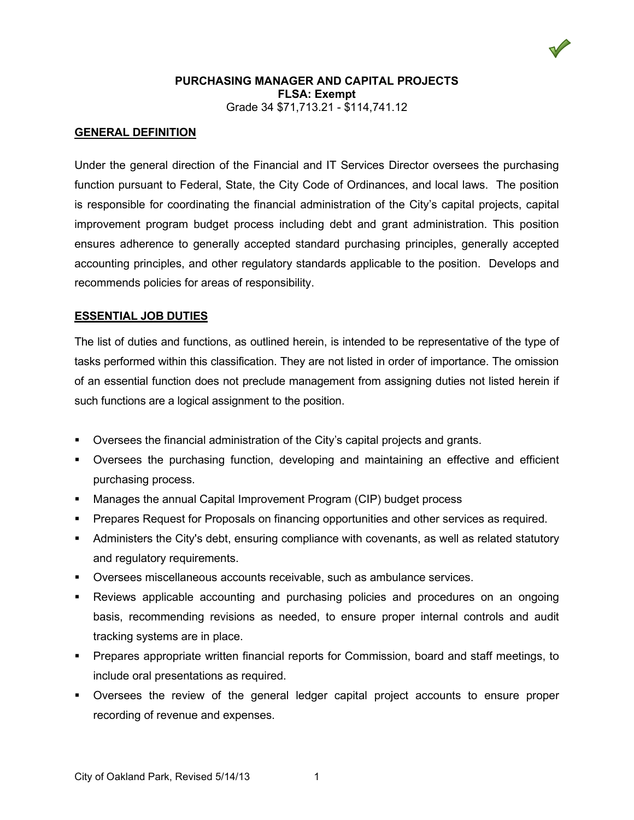

# **GENERAL DEFINITION**

Under the general direction of the Financial and IT Services Director oversees the purchasing function pursuant to Federal, State, the City Code of Ordinances, and local laws. The position is responsible for coordinating the financial administration of the City's capital projects, capital improvement program budget process including debt and grant administration. This position ensures adherence to generally accepted standard purchasing principles, generally accepted accounting principles, and other regulatory standards applicable to the position. Develops and recommends policies for areas of responsibility.

### **ESSENTIAL JOB DUTIES**

The list of duties and functions, as outlined herein, is intended to be representative of the type of tasks performed within this classification. They are not listed in order of importance. The omission of an essential function does not preclude management from assigning duties not listed herein if such functions are a logical assignment to the position.

- Oversees the financial administration of the City's capital projects and grants.
- Oversees the purchasing function, developing and maintaining an effective and efficient purchasing process.
- Manages the annual Capital Improvement Program (CIP) budget process
- Prepares Request for Proposals on financing opportunities and other services as required.
- Administers the City's debt, ensuring compliance with covenants, as well as related statutory and regulatory requirements.
- Oversees miscellaneous accounts receivable, such as ambulance services.
- Reviews applicable accounting and purchasing policies and procedures on an ongoing basis, recommending revisions as needed, to ensure proper internal controls and audit tracking systems are in place.
- Prepares appropriate written financial reports for Commission, board and staff meetings, to include oral presentations as required.
- Oversees the review of the general ledger capital project accounts to ensure proper recording of revenue and expenses.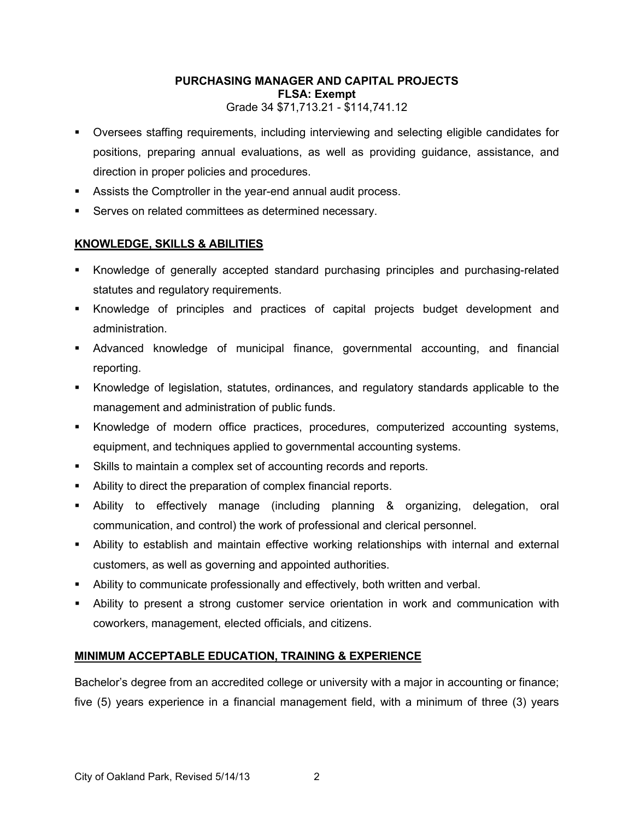- Oversees staffing requirements, including interviewing and selecting eligible candidates for positions, preparing annual evaluations, as well as providing guidance, assistance, and direction in proper policies and procedures.
- Assists the Comptroller in the year-end annual audit process.
- **Serves on related committees as determined necessary.**

# **KNOWLEDGE, SKILLS & ABILITIES**

- Knowledge of generally accepted standard purchasing principles and purchasing-related statutes and regulatory requirements.
- Knowledge of principles and practices of capital projects budget development and administration.
- Advanced knowledge of municipal finance, governmental accounting, and financial reporting.
- Knowledge of legislation, statutes, ordinances, and regulatory standards applicable to the management and administration of public funds.
- Knowledge of modern office practices, procedures, computerized accounting systems, equipment, and techniques applied to governmental accounting systems.
- Skills to maintain a complex set of accounting records and reports.
- Ability to direct the preparation of complex financial reports.
- Ability to effectively manage (including planning & organizing, delegation, oral communication, and control) the work of professional and clerical personnel.
- Ability to establish and maintain effective working relationships with internal and external customers, as well as governing and appointed authorities.
- Ability to communicate professionally and effectively, both written and verbal.
- Ability to present a strong customer service orientation in work and communication with coworkers, management, elected officials, and citizens.

### **MINIMUM ACCEPTABLE EDUCATION, TRAINING & EXPERIENCE**

Bachelor's degree from an accredited college or university with a major in accounting or finance; five (5) years experience in a financial management field, with a minimum of three (3) years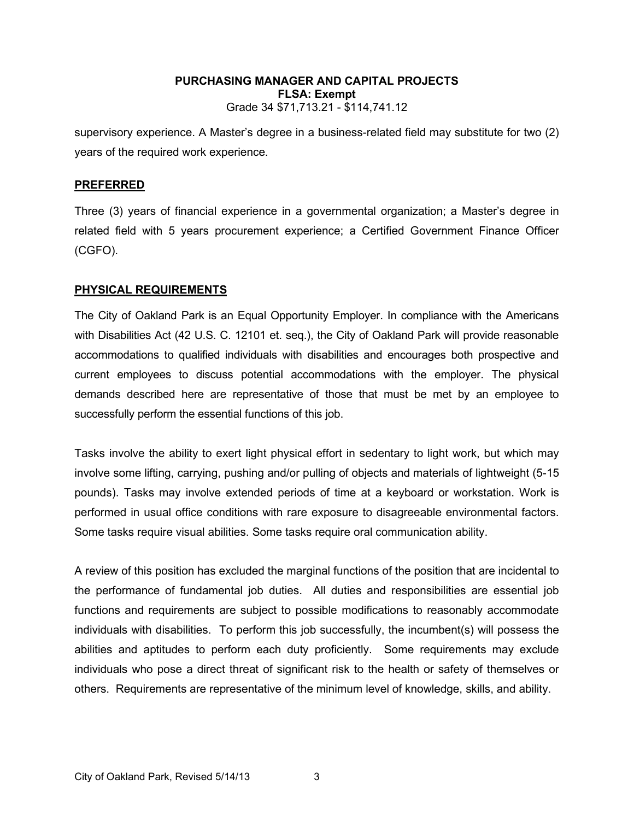supervisory experience. A Master's degree in a business-related field may substitute for two (2) years of the required work experience.

#### **PREFERRED**

Three (3) years of financial experience in a governmental organization; a Master's degree in related field with 5 years procurement experience; a Certified Government Finance Officer (CGFO).

#### **PHYSICAL REQUIREMENTS**

The City of Oakland Park is an Equal Opportunity Employer. In compliance with the Americans with Disabilities Act (42 U.S. C. 12101 et. seq.), the City of Oakland Park will provide reasonable accommodations to qualified individuals with disabilities and encourages both prospective and current employees to discuss potential accommodations with the employer. The physical demands described here are representative of those that must be met by an employee to successfully perform the essential functions of this job.

Tasks involve the ability to exert light physical effort in sedentary to light work, but which may involve some lifting, carrying, pushing and/or pulling of objects and materials of lightweight (5-15 pounds). Tasks may involve extended periods of time at a keyboard or workstation. Work is performed in usual office conditions with rare exposure to disagreeable environmental factors. Some tasks require visual abilities. Some tasks require oral communication ability.

A review of this position has excluded the marginal functions of the position that are incidental to the performance of fundamental job duties. All duties and responsibilities are essential job functions and requirements are subject to possible modifications to reasonably accommodate individuals with disabilities. To perform this job successfully, the incumbent(s) will possess the abilities and aptitudes to perform each duty proficiently. Some requirements may exclude individuals who pose a direct threat of significant risk to the health or safety of themselves or others. Requirements are representative of the minimum level of knowledge, skills, and ability.